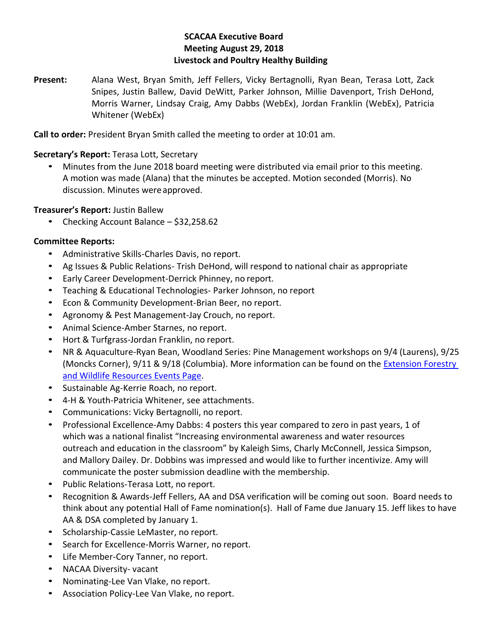## **SCACAA Executive Board Meeting August 29, 2018 Livestock and Poultry Healthy Building**

**Present:** Alana West, Bryan Smith, Jeff Fellers, Vicky Bertagnolli, Ryan Bean, Terasa Lott, Zack Snipes, Justin Ballew, David DeWitt, Parker Johnson, Millie Davenport, Trish DeHond, Morris Warner, Lindsay Craig, Amy Dabbs (WebEx), Jordan Franklin (WebEx), Patricia Whitener (WebEx)

**Call to order:** President Bryan Smith called the meeting to order at 10:01 am.

## **Secretary's Report:** Terasa Lott, Secretary

• Minutes from the June 2018 board meeting were distributed via email prior to this meeting. A motion was made (Alana) that the minutes be accepted. Motion seconded (Morris). No discussion. Minutes wereapproved.

## **Treasurer's Report:** Justin Ballew

• Checking Account Balance – \$32,258.62

## **Committee Reports:**

- Administrative Skills-Charles Davis, no report.
- Ag Issues & Public Relations- Trish DeHond, will respond to national chair as appropriate
- Early Career Development-Derrick Phinney, no report.
- Teaching & Educational Technologies- Parker Johnson, no report
- Econ & Community Development-Brian Beer, no report.
- Agronomy & Pest Management-Jay Crouch, no report.
- Animal Science-Amber Starnes, no report.
- Hort & Turfgrass-Jordan Franklin, no report.
- NR & Aquaculture-Ryan Bean, Woodland Series: Pine Management workshops on 9/4 (Laurens), 9/25 (Moncks Corner), 9/11 & 9/18 (Columbia). More information can be found on the [Extension Forestry](https://www.clemson.edu/extension/forestry/events.html)  [and Wildlife Resources Events Page.](https://www.clemson.edu/extension/forestry/events.html)
- Sustainable Ag-Kerrie Roach, no report.
- 4-H & Youth-Patricia Whitener, see attachments.
- Communications: Vicky Bertagnolli, no report.
- Professional Excellence-Amy Dabbs: 4 posters this year compared to zero in past years, 1 of which was a national finalist "Increasing environmental awareness and water resources outreach and education in the classroom" by Kaleigh Sims, Charly McConnell, Jessica Simpson, and Mallory Dailey. Dr. Dobbins was impressed and would like to further incentivize. Amy will communicate the poster submission deadline with the membership.
- Public Relations-Terasa Lott, no report.
- Recognition & Awards-Jeff Fellers, AA and DSA verification will be coming out soon. Board needs to think about any potential Hall of Fame nomination(s). Hall of Fame due January 15. Jeff likes to have AA & DSA completed by January 1.
- Scholarship-Cassie LeMaster, no report.
- Search for Excellence-Morris Warner, no report.
- Life Member-Cory Tanner, no report.
- NACAA Diversity- vacant
- Nominating-Lee Van Vlake, no report.
- Association Policy-Lee Van Vlake, no report.